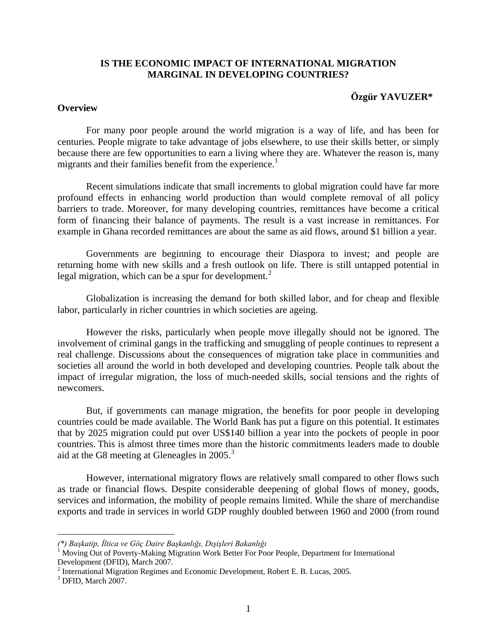# **IS THE ECONOMIC IMPACT OF INTERNATIONAL MIGRATION MARGINAL IN DEVELOPING COUNTRIES?**

### **Özgür YAVUZER\***

### **Overview**

 For many poor people around the world migration is a way of life, and has been for centuries. People migrate to take advantage of jobs elsewhere, to use their skills better, or simply because there are few opportunities to earn a living where they are. Whatever the reason is, many migrants and their families benefit from the experience.<sup>[1](#page-0-0)</sup>

 Recent simulations indicate that small increments to global migration could have far more profound effects in enhancing world production than would complete removal of all policy barriers to trade. Moreover, for many developing countries, remittances have become a critical form of financing their balance of payments. The result is a vast increase in remittances. For example in Ghana recorded remittances are about the same as aid flows, around \$1 billion a year.

 Governments are beginning to encourage their Diaspora to invest; and people are returning home with new skills and a fresh outlook on life. There is still untapped potential in legal migration, which can be a spur for development. $<sup>2</sup>$  $<sup>2</sup>$  $<sup>2</sup>$ </sup>

 Globalization is increasing the demand for both skilled labor, and for cheap and flexible labor, particularly in richer countries in which societies are ageing.

However the risks, particularly when people move illegally should not be ignored. The involvement of criminal gangs in the trafficking and smuggling of people continues to represent a real challenge. Discussions about the consequences of migration take place in communities and societies all around the world in both developed and developing countries. People talk about the impact of irregular migration, the loss of much-needed skills, social tensions and the rights of newcomers.

 But, if governments can manage migration, the benefits for poor people in developing countries could be made available. The World Bank has put a figure on this potential. It estimates that by 2025 migration could put over US\$140 billion a year into the pockets of people in poor countries. This is almost three times more than the historic commitments leaders made to double aid at the G8 meeting at Gleneagles in 2005.<sup>[3](#page-0-2)</sup>

However, international migratory flows are relatively small compared to other flows such as trade or financial flows. Despite considerable deepening of global flows of money, goods, services and information, the mobility of people remains limited. While the share of merchandise exports and trade in services in world GDP roughly doubled between 1960 and 2000 (from round

<span id="page-0-0"></span><sup>(\*)</sup> Başkatip, İltica ve Göç Daire Başkanlığı, Dışişleri Bakanlığı<br><sup>1</sup> Moving Out of Poverty-Making Migration Work Better For Poor People, Department for International Development (DFID), March 2007.

<span id="page-0-1"></span> $2$  International Migration Regimes and Economic Development, Robert E. B. Lucas, 2005.

<span id="page-0-2"></span><sup>3</sup> DFID, March 2007.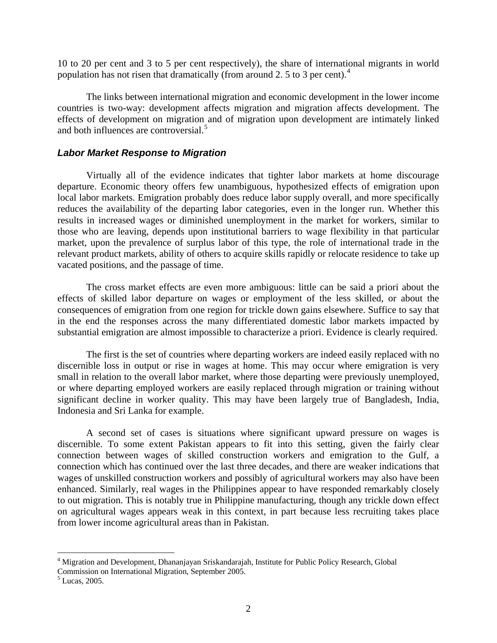10 to 20 per cent and 3 to 5 per cent respectively), the share of international migrants in world population has not risen that dramatically (from around 2. 5 to 3 per cent).<sup>[4](#page-1-0)</sup>

 The links between international migration and economic development in the lower income countries is two-way: development affects migration and migration affects development. The effects of development on migration and of migration upon development are intimately linked and both influences are controversial.<sup>[5](#page-1-1)</sup>

## *Labor Market Response to Migration*

Virtually all of the evidence indicates that tighter labor markets at home discourage departure. Economic theory offers few unambiguous, hypothesized effects of emigration upon local labor markets. Emigration probably does reduce labor supply overall, and more specifically reduces the availability of the departing labor categories, even in the longer run. Whether this results in increased wages or diminished unemployment in the market for workers, similar to those who are leaving, depends upon institutional barriers to wage flexibility in that particular market, upon the prevalence of surplus labor of this type, the role of international trade in the relevant product markets, ability of others to acquire skills rapidly or relocate residence to take up vacated positions, and the passage of time.

The cross market effects are even more ambiguous: little can be said a priori about the effects of skilled labor departure on wages or employment of the less skilled, or about the consequences of emigration from one region for trickle down gains elsewhere. Suffice to say that in the end the responses across the many differentiated domestic labor markets impacted by substantial emigration are almost impossible to characterize a priori. Evidence is clearly required.

The first is the set of countries where departing workers are indeed easily replaced with no discernible loss in output or rise in wages at home. This may occur where emigration is very small in relation to the overall labor market, where those departing were previously unemployed, or where departing employed workers are easily replaced through migration or training without significant decline in worker quality. This may have been largely true of Bangladesh, India, Indonesia and Sri Lanka for example.

A second set of cases is situations where significant upward pressure on wages is discernible. To some extent Pakistan appears to fit into this setting, given the fairly clear connection between wages of skilled construction workers and emigration to the Gulf, a connection which has continued over the last three decades, and there are weaker indications that wages of unskilled construction workers and possibly of agricultural workers may also have been enhanced. Similarly, real wages in the Philippines appear to have responded remarkably closely to out migration. This is notably true in Philippine manufacturing, though any trickle down effect on agricultural wages appears weak in this context, in part because less recruiting takes place from lower income agricultural areas than in Pakistan.

<span id="page-1-0"></span><sup>&</sup>lt;sup>4</sup> Migration and Development, Dhananjayan Sriskandarajah, Institute for Public Policy Research, Global Commission on International Migration, September 2005.

<span id="page-1-1"></span><sup>5</sup> Lucas, 2005.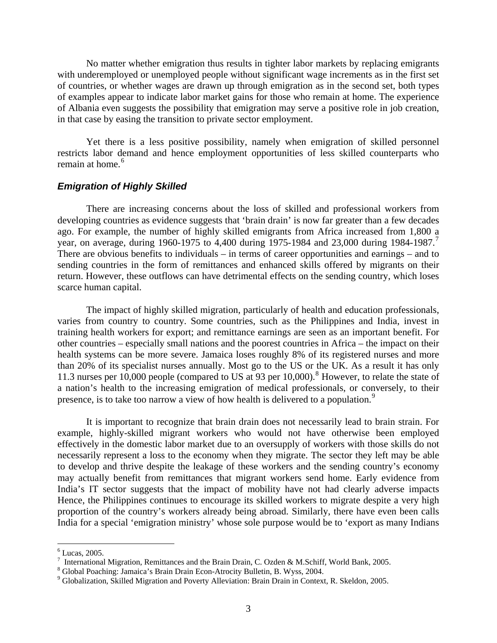No matter whether emigration thus results in tighter labor markets by replacing emigrants with underemployed or unemployed people without significant wage increments as in the first set of countries, or whether wages are drawn up through emigration as in the second set, both types of examples appear to indicate labor market gains for those who remain at home. The experience of Albania even suggests the possibility that emigration may serve a positive role in job creation, in that case by easing the transition to private sector employment.

Yet there is a less positive possibility, namely when emigration of skilled personnel restricts labor demand and hence employment opportunities of less skilled counterparts who remain at home.<sup>[6](#page-2-0)</sup>

### *Emigration of Highly Skilled*

There are increasing concerns about the loss of skilled and professional workers from developing countries as evidence suggests that 'brain drain' is now far greater than a few decades ago. For example, the number of highly skilled emigrants from Africa increased from 1,800 a year, on average, during 1960-19[7](#page-2-1)5 to 4,400 during 1975-1984 and 23,000 during 1984-1987.<sup>7</sup> There are obvious benefits to individuals – in terms of career opportunities and earnings – and to sending countries in the form of remittances and enhanced skills offered by migrants on their return. However, these outflows can have detrimental effects on the sending country, which loses scarce human capital.

The impact of highly skilled migration, particularly of health and education professionals, varies from country to country. Some countries, such as the Philippines and India, invest in training health workers for export; and remittance earnings are seen as an important benefit. For other countries – especially small nations and the poorest countries in Africa – the impact on their health systems can be more severe. Jamaica loses roughly 8% of its registered nurses and more than 20% of its specialist nurses annually. Most go to the US or the UK. As a result it has only 11.3 nurses per 10,000 people (compared to US at 93 per 10,000).<sup>[8](#page-2-2)</sup> However, to relate the state of a nation's health to the increasing emigration of medical professionals, or conversely, to their presence, is to take too narrow a view of how health is delivered to a population.<sup>[9](#page-2-3)</sup>

It is important to recognize that brain drain does not necessarily lead to brain strain. For example, highly-skilled migrant workers who would not have otherwise been employed effectively in the domestic labor market due to an oversupply of workers with those skills do not necessarily represent a loss to the economy when they migrate. The sector they left may be able to develop and thrive despite the leakage of these workers and the sending country's economy may actually benefit from remittances that migrant workers send home. Early evidence from India's IT sector suggests that the impact of mobility have not had clearly adverse impacts Hence, the Philippines continues to encourage its skilled workers to migrate despite a very high proportion of the country's workers already being abroad. Similarly, there have even been calls India for a special 'emigration ministry' whose sole purpose would be to 'export as many Indians

<span id="page-2-0"></span> $<sup>6</sup>$  Lucas, 2005.</sup>

International Migration, Remittances and the Brain Drain, C. Ozden & M.Schiff, World Bank, 2005.

<span id="page-2-2"></span><span id="page-2-1"></span>Global Poaching: Jamaica's Brain Drain Econ-Atrocity Bulletin, B. Wyss, 2004.

<span id="page-2-3"></span><sup>&</sup>lt;sup>9</sup> Globalization, Skilled Migration and Poverty Alleviation: Brain Drain in Context, R. Skeldon, 2005.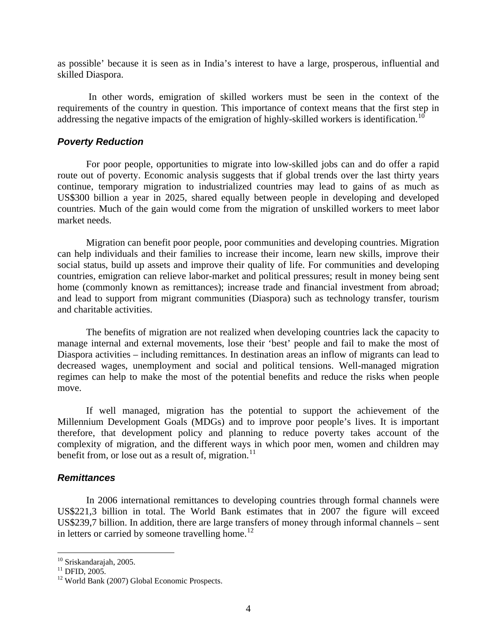as possible' because it is seen as in India's interest to have a large, prosperous, influential and skilled Diaspora.

 In other words, emigration of skilled workers must be seen in the context of the requirements of the country in question. This importance of context means that the first step in addressing the negative impacts of the emigration of highly-skilled workers is identification.<sup>[10](#page-3-0)</sup>

## *Poverty Reduction*

For poor people, opportunities to migrate into low-skilled jobs can and do offer a rapid route out of poverty. Economic analysis suggests that if global trends over the last thirty years continue, temporary migration to industrialized countries may lead to gains of as much as US\$300 billion a year in 2025, shared equally between people in developing and developed countries. Much of the gain would come from the migration of unskilled workers to meet labor market needs.

Migration can benefit poor people, poor communities and developing countries. Migration can help individuals and their families to increase their income, learn new skills, improve their social status, build up assets and improve their quality of life. For communities and developing countries, emigration can relieve labor-market and political pressures; result in money being sent home (commonly known as remittances); increase trade and financial investment from abroad; and lead to support from migrant communities (Diaspora) such as technology transfer, tourism and charitable activities.

The benefits of migration are not realized when developing countries lack the capacity to manage internal and external movements, lose their 'best' people and fail to make the most of Diaspora activities – including remittances. In destination areas an inflow of migrants can lead to decreased wages, unemployment and social and political tensions. Well-managed migration regimes can help to make the most of the potential benefits and reduce the risks when people move.

If well managed, migration has the potential to support the achievement of the Millennium Development Goals (MDGs) and to improve poor people's lives. It is important therefore, that development policy and planning to reduce poverty takes account of the complexity of migration, and the different ways in which poor men, women and children may benefit from, or lose out as a result of, migration.<sup>[11](#page-3-1)</sup>

## *Remittances*

In 2006 international remittances to developing countries through formal channels were US\$221,3 billion in total. The World Bank estimates that in 2007 the figure will exceed US\$239,7 billion. In addition, there are large transfers of money through informal channels – sent in letters or carried by someone travelling home.<sup>[12](#page-3-2)</sup>

<sup>&</sup>lt;sup>10</sup> Sriskandarajah, 2005.

<span id="page-3-1"></span><span id="page-3-0"></span> $^{11}$  DFID, 2005.

<span id="page-3-2"></span><sup>&</sup>lt;sup>12</sup> World Bank (2007) Global Economic Prospects.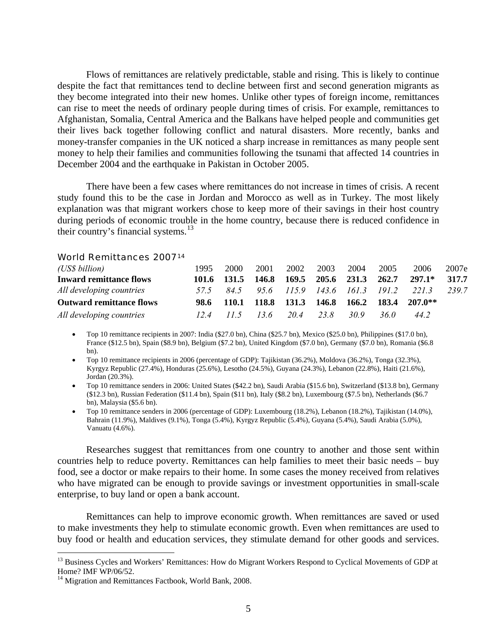Flows of remittances are relatively predictable, stable and rising. This is likely to continue despite the fact that remittances tend to decline between first and second generation migrants as they become integrated into their new homes. Unlike other types of foreign income, remittances can rise to meet the needs of ordinary people during times of crisis. For example, remittances to Afghanistan, Somalia, Central America and the Balkans have helped people and communities get their lives back together following conflict and natural disasters. More recently, banks and money-transfer companies in the UK noticed a sharp increase in remittances as many people sent money to help their families and communities following the tsunami that affected 14 countries in December 2004 and the earthquake in Pakistan in October 2005.

There have been a few cases where remittances do not increase in times of crisis. A recent study found this to be the case in Jordan and Morocco as well as in Turkey. The most likely explanation was that migrant workers chose to keep more of their savings in their host country during periods of economic trouble in the home country, because there is reduced confidence in their country's financial systems. $^{13}$  $^{13}$  $^{13}$ 

### World Remittances 2007[14](#page-4-1)

| (US\$ billion)                  | 1995  | 2000    | 2001                    | 2002 | 2003                         | 2004  | 2005        | 2006      | 2007e |
|---------------------------------|-------|---------|-------------------------|------|------------------------------|-------|-------------|-----------|-------|
| <b>Inward remittance flows</b>  | 101.6 | - 131.5 | 146.8                   |      | 169.5 205.6 231.3            |       | 262.7       | $297.1*$  | 317.7 |
| All developing countries        | 575   | 84.5    |                         |      | 95.6 115.9 143.6 161.3 191.2 |       |             | 2213      | 2397  |
| <b>Outward remittance flows</b> | 98.6  |         | 110.1 118.8 131.3 146.8 |      |                              |       | 166.2 183.4 | $207.0**$ |       |
| All developing countries        | 12.4  | 11.5    | $13.6 \t20.4$           |      | 23.8                         | 30. 9 | 36.O        | 44.2      |       |

• Top 10 remittance recipients in 2007: India (\$27.0 bn), China (\$25.7 bn), Mexico (\$25.0 bn), Philippines (\$17.0 bn), France (\$12.5 bn), Spain (\$8.9 bn), Belgium (\$7.2 bn), United Kingdom (\$7.0 bn), Germany (\$7.0 bn), Romania (\$6.8 bn).

• Top 10 remittance recipients in 2006 (percentage of GDP): Tajikistan (36.2%), Moldova (36.2%), Tonga (32.3%), Kyrgyz Republic (27.4%), Honduras (25.6%), Lesotho (24.5%), Guyana (24.3%), Lebanon (22.8%), Haiti (21.6%), Jordan (20.3%).

• Top 10 remittance senders in 2006: United States (\$42.2 bn), Saudi Arabia (\$15.6 bn), Switzerland (\$13.8 bn), Germany (\$12.3 bn), Russian Federation (\$11.4 bn), Spain (\$11 bn), Italy (\$8.2 bn), Luxembourg (\$7.5 bn), Netherlands (\$6.7 bn), Malaysia (\$5.6 bn).

• Top 10 remittance senders in 2006 (percentage of GDP): Luxembourg (18.2%), Lebanon (18.2%), Tajikistan (14.0%), Bahrain (11.9%), Maldives (9.1%), Tonga (5.4%), Kyrgyz Republic (5.4%), Guyana (5.4%), Saudi Arabia (5.0%), Vanuatu (4.6%).

Researches suggest that remittances from one country to another and those sent within countries help to reduce poverty. Remittances can help families to meet their basic needs – buy food, see a doctor or make repairs to their home. In some cases the money received from relatives who have migrated can be enough to provide savings or investment opportunities in small-scale enterprise, to buy land or open a bank account.

Remittances can help to improve economic growth. When remittances are saved or used to make investments they help to stimulate economic growth. Even when remittances are used to buy food or health and education services, they stimulate demand for other goods and services.

<span id="page-4-0"></span><sup>&</sup>lt;sup>13</sup> Business Cycles and Workers' Remittances: How do Migrant Workers Respond to Cyclical Movements of GDP at Home? IMF WP/06/52.

<span id="page-4-1"></span><sup>&</sup>lt;sup>14</sup> Migration and Remittances Factbook, World Bank, 2008.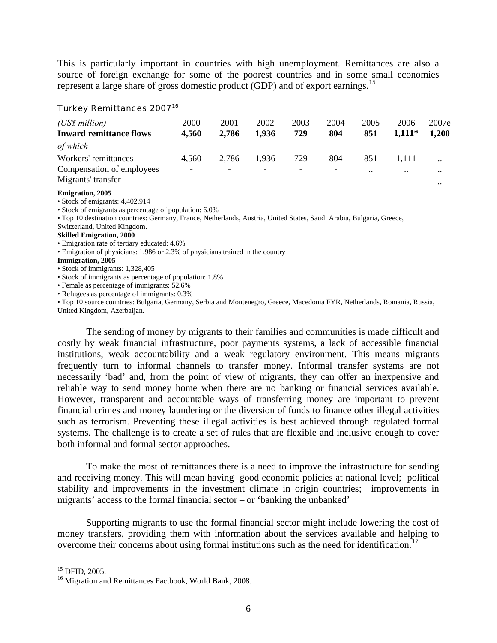This is particularly important in countries with high unemployment. Remittances are also a source of foreign exchange for some of the poorest countries and in some small economies represent a large share of gross domestic product (GDP) and of export earnings.<sup>[15](#page-5-0)</sup>

### Turkey Remittances 2007<sup>[16](#page-5-1)</sup>

| (US\$ million)<br><b>Inward remittance flows</b> | 2000<br>4,560     | 2001<br>2,786            | 2002<br>1.936            | 2003<br>729 | 2004<br>804 | 2005<br>851 | 2006<br>$1,111*$ | 2007e<br>1.200 |
|--------------------------------------------------|-------------------|--------------------------|--------------------------|-------------|-------------|-------------|------------------|----------------|
| of which                                         |                   |                          |                          |             |             |             |                  |                |
| Workers' remittances                             | 4.560             | 2,786                    | 1.936                    | 729         | 804         | 851         | 1.111            | $\cdot$ .      |
| Compensation of employees                        | $\qquad \qquad -$ | $\overline{\phantom{a}}$ | $\overline{\phantom{0}}$ |             |             | $\cdot$ .   | $\cdot$          | $\ddotsc$      |
| Migrants' transfer                               |                   | -                        | $\overline{\phantom{0}}$ |             |             |             |                  | $\ddotsc$      |

#### **Emigration, 2005**

• Stock of emigrants: 4,402,914

• Stock of emigrants as percentage of population: 6.0%

• Top 10 destination countries: Germany, France, Netherlands, Austria, United States, Saudi Arabia, Bulgaria, Greece,

Switzerland, United Kingdom.

#### **Skilled Emigration, 2000**

• Emigration rate of tertiary educated: 4.6%

• Emigration of physicians: 1,986 or 2.3% of physicians trained in the country

### **Immigration, 2005**

• Stock of immigrants: 1,328,405

• Stock of immigrants as percentage of population: 1.8%

• Female as percentage of immigrants: 52.6%

• Refugees as percentage of immigrants: 0.3%

• Top 10 source countries: Bulgaria, Germany, Serbia and Montenegro, Greece, Macedonia FYR, Netherlands, Romania, Russia, United Kingdom, Azerbaijan.

The sending of money by migrants to their families and communities is made difficult and costly by weak financial infrastructure, poor payments systems, a lack of accessible financial institutions, weak accountability and a weak regulatory environment. This means migrants frequently turn to informal channels to transfer money. Informal transfer systems are not necessarily 'bad' and, from the point of view of migrants, they can offer an inexpensive and reliable way to send money home when there are no banking or financial services available. However, transparent and accountable ways of transferring money are important to prevent financial crimes and money laundering or the diversion of funds to finance other illegal activities such as terrorism. Preventing these illegal activities is best achieved through regulated formal systems. The challenge is to create a set of rules that are flexible and inclusive enough to cover both informal and formal sector approaches.

To make the most of remittances there is a need to improve the infrastructure for sending and receiving money. This will mean having good economic policies at national level; political stability and improvements in the investment climate in origin countries; improvements in migrants' access to the formal financial sector – or 'banking the unbanked'

<span id="page-5-2"></span>Supporting migrants to use the formal financial sector might include lowering the cost of money transfers, providing them with information about the services available and helping to overcome their concerns about using formal institutions such as the need for identification.<sup>[17](#page-5-2)</sup>

<span id="page-5-0"></span><sup>15</sup> DFID, 2005.

<span id="page-5-1"></span><sup>&</sup>lt;sup>16</sup> Migration and Remittances Factbook, World Bank, 2008.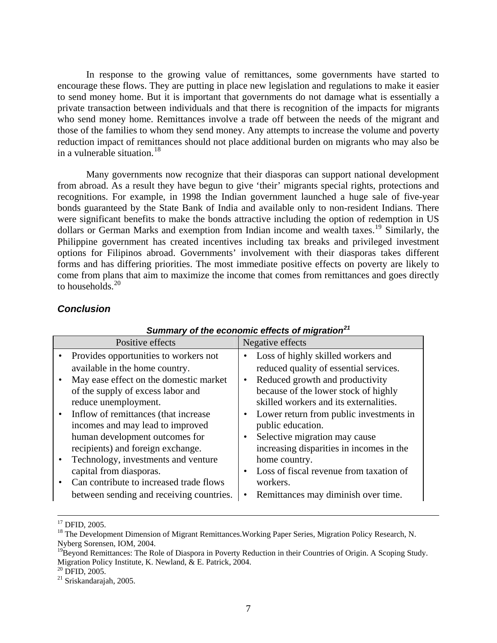In response to the growing value of remittances, some governments have started to encourage these flows. They are putting in place new legislation and regulations to make it easier to send money home. But it is important that governments do not damage what is essentially a private transaction between individuals and that there is recognition of the impacts for migrants who send money home. Remittances involve a trade off between the needs of the migrant and those of the families to whom they send money. Any attempts to increase the volume and poverty reduction impact of remittances should not place additional burden on migrants who may also be in a vulnerable situation.<sup>[18](#page-6-0)</sup>

Many governments now recognize that their diasporas can support national development from abroad. As a result they have begun to give 'their' migrants special rights, protections and recognitions. For example, in 1998 the Indian government launched a huge sale of five-year bonds guaranteed by the State Bank of India and available only to non-resident Indians. There were significant benefits to make the bonds attractive including the option of redemption in US dollars or German Marks and exemption from Indian income and wealth taxes.<sup>[19](#page-6-1)</sup> Similarly, the Philippine government has created incentives including tax breaks and privileged investment options for Filipinos abroad. Governments' involvement with their diasporas takes different forms and has differing priorities. The most immediate positive effects on poverty are likely to come from plans that aim to maximize the income that comes from remittances and goes directly to households. $20$ 

# *Conclusion*

| Positive effects                         | Negative effects                         |
|------------------------------------------|------------------------------------------|
| Provides opportunities to workers not    | Loss of highly skilled workers and       |
| available in the home country.           | reduced quality of essential services.   |
| May ease effect on the domestic market   | Reduced growth and productivity          |
| of the supply of excess labor and        | because of the lower stock of highly     |
| reduce unemployment.                     | skilled workers and its externalities.   |
| Inflow of remittances (that increase     | Lower return from public investments in  |
| incomes and may lead to improved         | public education.                        |
| human development outcomes for           | Selective migration may cause            |
| recipients) and foreign exchange.        | increasing disparities in incomes in the |
| Technology, investments and venture      | home country.                            |
| capital from diasporas.                  | Loss of fiscal revenue from taxation of  |
| Can contribute to increased trade flows  | workers.                                 |
| between sending and receiving countries. | Remittances may diminish over time.      |

# *Summary of the economic effects of migration[21](#page-6-3)*

 $^{20}$  DFID, 2005.

<span id="page-6-3"></span><span id="page-6-2"></span>21 Sriskandarajah, 2005.

<sup>&</sup>lt;sup>17</sup> DFID, 2005.

<span id="page-6-0"></span><sup>&</sup>lt;sup>18</sup> The Development Dimension of Migrant Remittances. Working Paper Series, Migration Policy Research, N. Nyberg Sorensen, IOM, 2004.

<span id="page-6-1"></span><sup>&</sup>lt;sup>19</sup>Beyond Remittances: The Role of Diaspora in Poverty Reduction in their Countries of Origin. A Scoping Study. Migration Policy Institute, K. Newland, & E. Patrick, 2004.